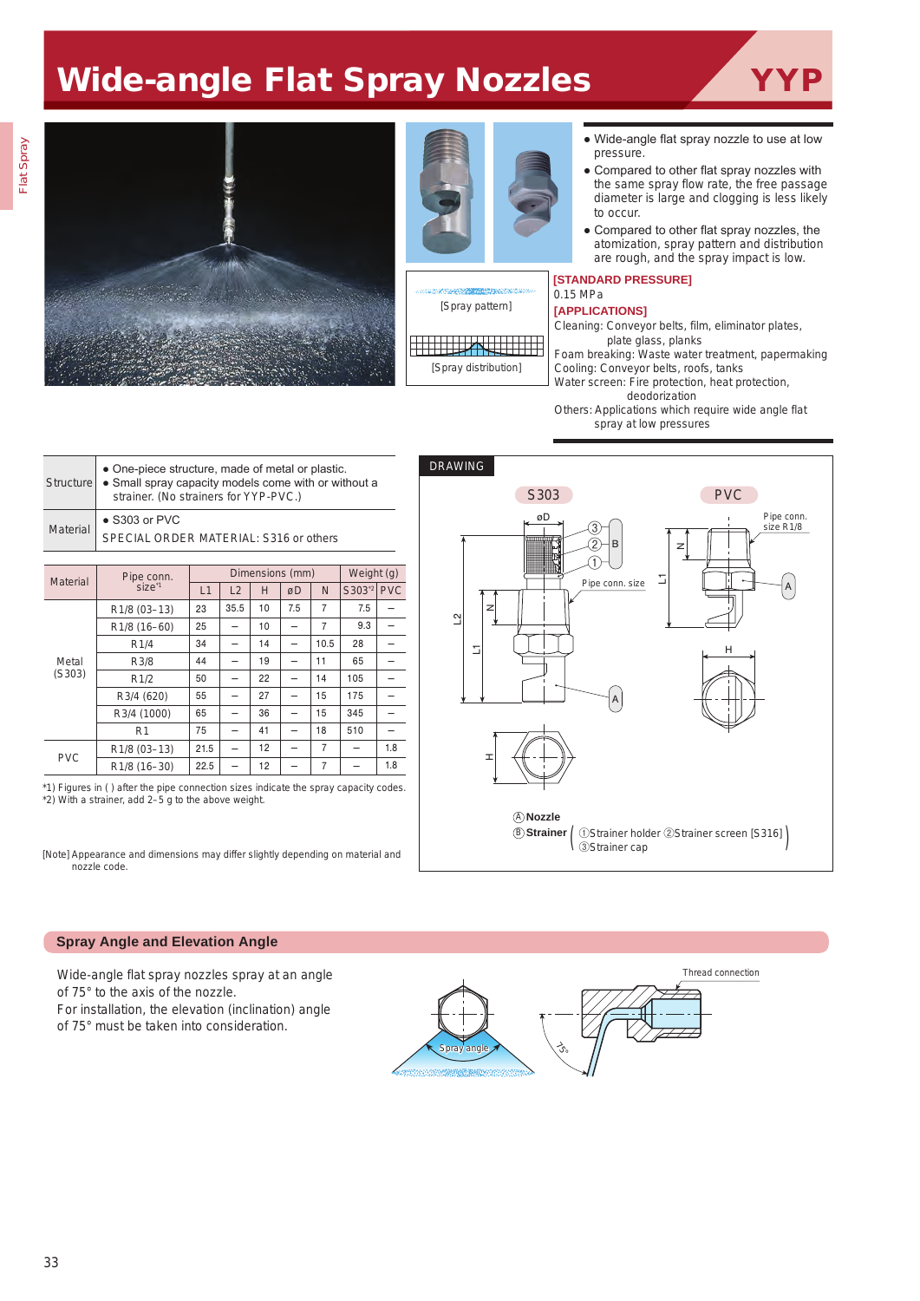# Wide-angle Flat Spray Nozzles







- Wide-angle flat spray nozzle to use at low pressure.
- Compared to other flat spray nozzles with the same spray flow rate, the free passage diameter is large and clogging is less likely to occur.
- Compared to other flat spray nozzles, the atomization, spray pattern and distribution are rough, and the spray impact is low.

#### **[STANDARD PRESSURE]** 0.15 MPa

## **[APPLICATIONS]**

Cleaning: Conveyor belts, film, eliminator plates, plate glass, planks

Foam breaking: Waste water treatment, papermaking Cooling: Conveyor belts, roofs, tanks

Water screen: Fire protection, heat protection, deodorization

Others: Applications which require wide angle flat spray at low pressures

| Structure       | • One-piece structure, made of metal or plastic.<br>• Small spray capacity models come with or without a<br>strainer. (No strainers for YYP-PVC.) |
|-----------------|---------------------------------------------------------------------------------------------------------------------------------------------------|
| <b>Material</b> | $\bullet$ S303 or PVC<br>SPECIAL ORDER MATERIAL: S316 or others                                                                                   |
|                 |                                                                                                                                                   |

| <b>Material</b> | Pipe conn.                |      | Dimensions (mm) | Weight (g) |     |                |          |            |
|-----------------|---------------------------|------|-----------------|------------|-----|----------------|----------|------------|
|                 | size <sup>*1</sup>        | L1   | L2              | Н          | øD  | N              | $S303^2$ | <b>PVC</b> |
| Metal<br>(S303) | R <sub>1</sub> /8 (03-13) | 23   | 35.5            | 10         | 7.5 | 7              | 7.5      |            |
|                 | R1/8 (16-60)              | 25   |                 | 10         |     | 7              | 9.3      |            |
|                 | R1/4                      | 34   |                 | 14         |     | 10.5           | 28       |            |
|                 | R3/8                      | 44   |                 | 19         |     | 11             | 65       |            |
|                 | R1/2                      | 50   |                 | 22         |     | 14             | 105      |            |
|                 | R3/4 (620)                | 55   |                 | 27         |     | 15             | 175      |            |
|                 | R3/4 (1000)               | 65   |                 | 36         |     | 15             | 345      |            |
|                 | R <sub>1</sub>            | 75   |                 | 41         |     | 18             | 510      |            |
| <b>PVC</b>      | R <sub>1</sub> /8 (03-13) | 21.5 |                 | 12         |     | $\overline{7}$ |          | 1.8        |
|                 | R1/8 (16-30)              | 22.5 |                 | 12         |     | 7              |          | 1.8        |

\*1) Figures in ( ) after the pipe connection sizes indicate the spray capacity codes. \*2) With a strainer, add 2–5 g to the above weight.

[Note] Appearance and dimensions may differ slightly depending on material and nozzle code.



## **Spray Angle and Elevation Angle**

Wide-angle flat spray nozzles spray at an angle of 75° to the axis of the nozzle. For installation, the elevation (inclination) angle of 75° must be taken into consideration.